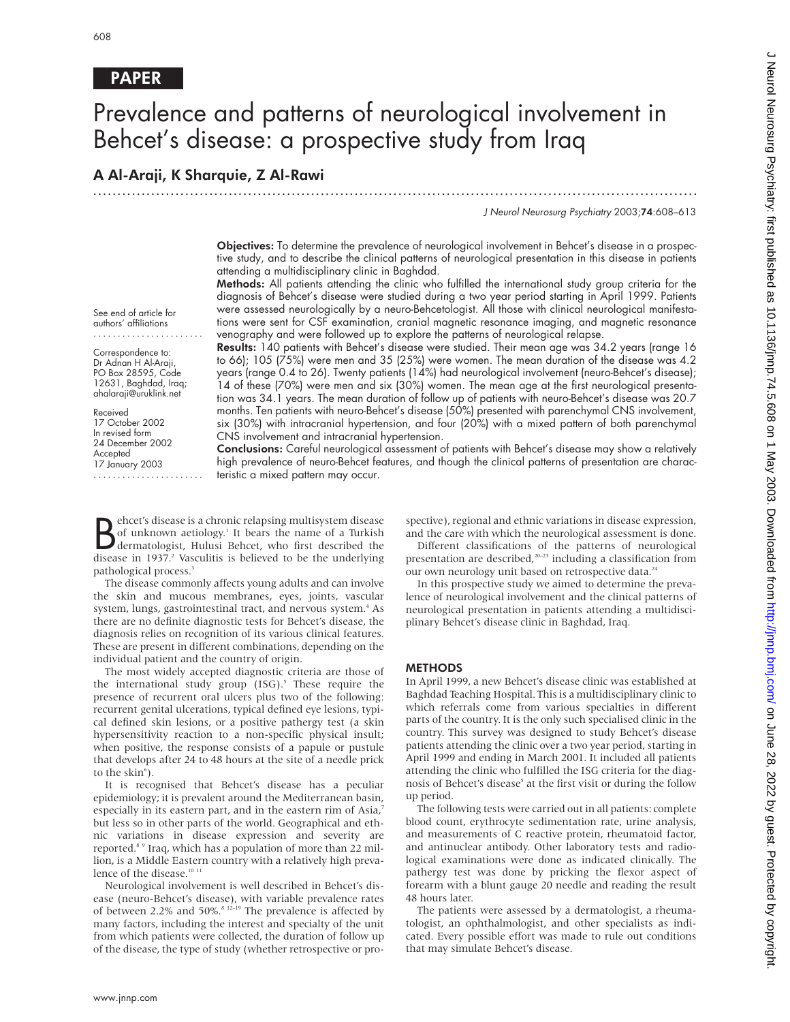# PAPER

# Prevalence and patterns of neurological involvement in Behcet's disease: a prospective study from Iraq

.............................................................................................................................

# A Al-Araji, K Sharquie, Z Al-Rawi

J Neurol Neurosurg Psychiatry 2003;74:608–613

Objectives: To determine the prevalence of neurological involvement in Behcet's disease in a prospective study, and to describe the clinical patterns of neurological presentation in this disease in patients attending a multidisciplinary clinic in Baghdad.

Methods: All patients attending the clinic who fulfilled the international study group criteria for the diagnosis of Behcet's disease were studied during a two year period starting in April 1999. Patients were assessed neurologically by a neuro-Behcetologist. All those with clinical neurological manifestations were sent for CSF examination, cranial magnetic resonance imaging, and magnetic resonance venography and were followed up to explore the patterns of neurological relapse.

See end of article for authors' affiliations .......................

Correspondence to: Dr Adnan H Al-Araji, PO Box 28595, Code 12631, Baghdad, Iraq; ahalaraji@uruklink.net

Received 17 October 2002 In revised form 24 December 2002 Accepted 17 January 2003 .......................

Results: 140 patients with Behcet's disease were studied. Their mean age was 34.2 years (range 16 to 66); 105 (75%) were men and 35 (25%) were women. The mean duration of the disease was 4.2 years (range 0.4 to 26). Twenty patients (14%) had neurological involvement (neuro-Behcet's disease); 14 of these (70%) were men and six (30%) women. The mean age at the first neurological presentation was 34.1 years. The mean duration of follow up of patients with neuro-Behcet's disease was 20.7 months. Ten patients with neuro-Behcet's disease (50%) presented with parenchymal CNS involvement, six (30%) with intracranial hypertension, and four (20%) with a mixed pattern of both parenchymal CNS involvement and intracranial hypertension.

Conclusions: Careful neurological assessment of patients with Behcet's disease may show a relatively high prevalence of neuro-Behcet features, and though the clinical patterns of presentation are characteristic a mixed pattern may occur.

Behcet's disease is a chronic relapsing multisystem disease<br>of unknown aetiology.<sup>1</sup> It bears the name of a Turkish<br>disease in 1937<sup>2</sup> Vasculitis is believed to be the underlying ehcet's disease is a chronic relapsing multisystem disease of unknown aetiology.<sup>1</sup> It bears the name of a Turkish disease in 1937.<sup>2</sup> Vasculitis is believed to be the underlying pathological process.<sup>3</sup>

The disease commonly affects young adults and can involve the skin and mucous membranes, eyes, joints, vascular system, lungs, gastrointestinal tract, and nervous system.<sup>4</sup> As there are no definite diagnostic tests for Behcet's disease, the diagnosis relies on recognition of its various clinical features. These are present in different combinations, depending on the individual patient and the country of origin.

The most widely accepted diagnostic criteria are those of the international study group  $(ISG)$ .<sup>5</sup> These require the presence of recurrent oral ulcers plus two of the following: recurrent genital ulcerations, typical defined eye lesions, typical defined skin lesions, or a positive pathergy test (a skin hypersensitivity reaction to a non-specific physical insult; when positive, the response consists of a papule or pustule that develops after 24 to 48 hours at the site of a needle prick to the skin<sup>6</sup>).

It is recognised that Behcet's disease has a peculiar epidemiology; it is prevalent around the Mediterranean basin, especially in its eastern part, and in the eastern rim of Asia,<sup>7</sup> but less so in other parts of the world. Geographical and ethnic variations in disease expression and severity are reported.8 9 Iraq, which has a population of more than 22 million, is a Middle Eastern country with a relatively high prevalence of the disease.<sup>10</sup>

Neurological involvement is well described in Behcet's disease (neuro-Behcet's disease), with variable prevalence rates of between 2.2% and 50%.<sup>8</sup> <sup>12-19</sup> The prevalence is affected by many factors, including the interest and specialty of the unit from which patients were collected, the duration of follow up of the disease, the type of study (whether retrospective or prospective), regional and ethnic variations in disease expression, and the care with which the neurological assessment is done.

Different classifications of the patterns of neurological presentation are described,<sup>20-23</sup> including a classification from our own neurology unit based on retrospective data.<sup>24</sup>

In this prospective study we aimed to determine the prevalence of neurological involvement and the clinical patterns of neurological presentation in patients attending a multidisciplinary Behcet's disease clinic in Baghdad, Iraq.

## **METHODS**

In April 1999, a new Behcet's disease clinic was established at Baghdad Teaching Hospital. This is a multidisciplinary clinic to which referrals come from various specialties in different parts of the country. It is the only such specialised clinic in the country. This survey was designed to study Behcet's disease patients attending the clinic over a two year period, starting in April 1999 and ending in March 2001. It included all patients attending the clinic who fulfilled the ISG criteria for the diagnosis of Behcet's disease<sup>5</sup> at the first visit or during the follow up period.

The following tests were carried out in all patients: complete blood count, erythrocyte sedimentation rate, urine analysis, and measurements of C reactive protein, rheumatoid factor, and antinuclear antibody. Other laboratory tests and radiological examinations were done as indicated clinically. The pathergy test was done by pricking the flexor aspect of forearm with a blunt gauge 20 needle and reading the result 48 hours later.

The patients were assessed by a dermatologist, a rheumatologist, an ophthalmologist, and other specialists as indicated. Every possible effort was made to rule out conditions that may simulate Behcet's disease.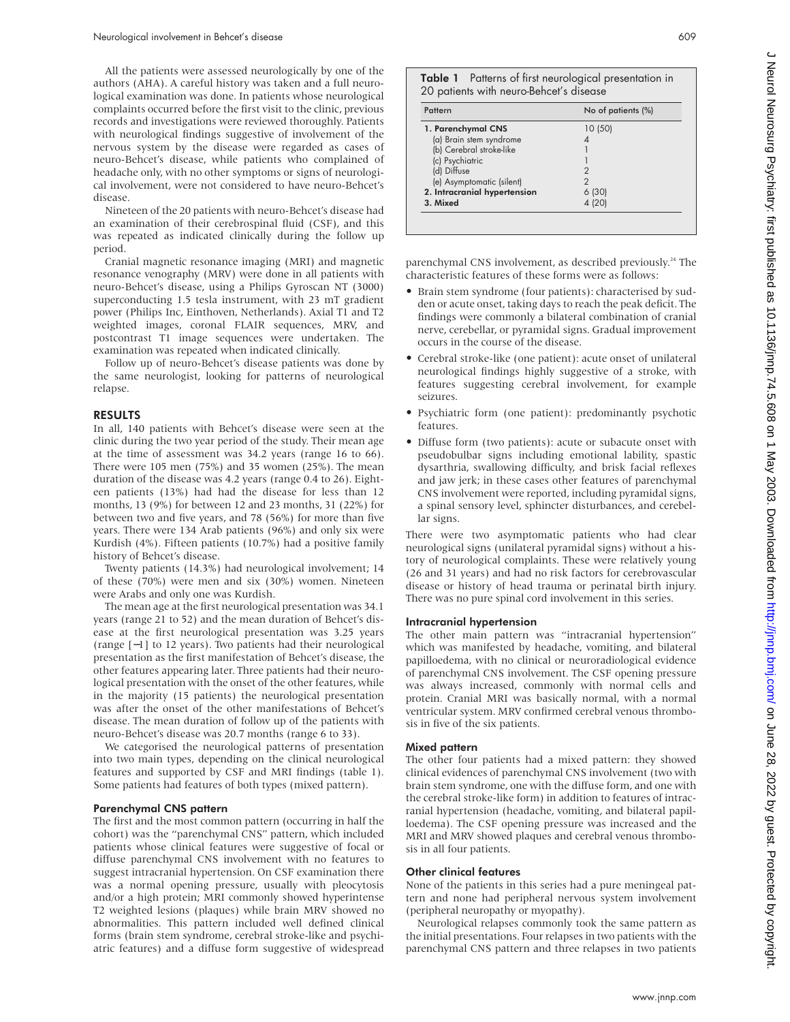All the patients were assessed neurologically by one of the authors (AHA). A careful history was taken and a full neurological examination was done. In patients whose neurological complaints occurred before the first visit to the clinic, previous records and investigations were reviewed thoroughly. Patients with neurological findings suggestive of involvement of the nervous system by the disease were regarded as cases of neuro-Behcet's disease, while patients who complained of headache only, with no other symptoms or signs of neurological involvement, were not considered to have neuro-Behcet's disease.

Nineteen of the 20 patients with neuro-Behcet's disease had an examination of their cerebrospinal fluid (CSF), and this was repeated as indicated clinically during the follow up period.

Cranial magnetic resonance imaging (MRI) and magnetic resonance venography (MRV) were done in all patients with neuro-Behcet's disease, using a Philips Gyroscan NT (3000) superconducting 1.5 tesla instrument, with 23 mT gradient power (Philips Inc, Einthoven, Netherlands). Axial T1 and T2 weighted images, coronal FLAIR sequences, MRV, and postcontrast T1 image sequences were undertaken. The examination was repeated when indicated clinically.

Follow up of neuro-Behcet's disease patients was done by the same neurologist, looking for patterns of neurological relapse.

## RESULTS

In all, 140 patients with Behcet's disease were seen at the clinic during the two year period of the study. Their mean age at the time of assessment was 34.2 years (range 16 to 66). There were 105 men (75%) and 35 women (25%). The mean duration of the disease was 4.2 years (range 0.4 to 26). Eighteen patients (13%) had had the disease for less than 12 months, 13 (9%) for between 12 and 23 months, 31 (22%) for between two and five years, and 78 (56%) for more than five years. There were 134 Arab patients (96%) and only six were Kurdish (4%). Fifteen patients (10.7%) had a positive family history of Behcet's disease.

Twenty patients (14.3%) had neurological involvement; 14 of these (70%) were men and six (30%) women. Nineteen were Arabs and only one was Kurdish.

The mean age at the first neurological presentation was 34.1 years (range 21 to 52) and the mean duration of Behcet's disease at the first neurological presentation was 3.25 years (range [−1] to 12 years). Two patients had their neurological presentation as the first manifestation of Behcet's disease, the other features appearing later. Three patients had their neurological presentation with the onset of the other features, while in the majority (15 patients) the neurological presentation was after the onset of the other manifestations of Behcet's disease. The mean duration of follow up of the patients with neuro-Behcet's disease was 20.7 months (range 6 to 33).

We categorised the neurological patterns of presentation into two main types, depending on the clinical neurological features and supported by CSF and MRI findings (table 1). Some patients had features of both types (mixed pattern).

#### Parenchymal CNS pattern

The first and the most common pattern (occurring in half the cohort) was the "parenchymal CNS" pattern, which included patients whose clinical features were suggestive of focal or diffuse parenchymal CNS involvement with no features to suggest intracranial hypertension. On CSF examination there was a normal opening pressure, usually with pleocytosis and/or a high protein; MRI commonly showed hyperintense T2 weighted lesions (plaques) while brain MRV showed no abnormalities. This pattern included well defined clinical forms (brain stem syndrome, cerebral stroke-like and psychiatric features) and a diffuse form suggestive of widespread

| Table 1 Patterns of first neurological presentation in |
|--------------------------------------------------------|
| 20 patients with neuro-Behcet's disease                |

| Pattern                      | No of patients (%) |  |
|------------------------------|--------------------|--|
| 1. Parenchymal CNS           | 10 (50)            |  |
| (a) Brain stem syndrome      |                    |  |
| (b) Cerebral stroke-like     |                    |  |
| (c) Psychiatric              |                    |  |
| (d) Diffuse                  |                    |  |
| (e) Asymptomatic (silent)    |                    |  |
| 2. Intracranial hypertension | 6 (30)             |  |
| 3. Mixed                     | 4 (20)             |  |

parenchymal CNS involvement, as described previously.<sup>24</sup> The characteristic features of these forms were as follows:

- Brain stem syndrome (four patients): characterised by sudden or acute onset, taking days to reach the peak deficit. The findings were commonly a bilateral combination of cranial nerve, cerebellar, or pyramidal signs. Gradual improvement occurs in the course of the disease.
- Cerebral stroke-like (one patient): acute onset of unilateral neurological findings highly suggestive of a stroke, with features suggesting cerebral involvement, for example seizures.
- Psychiatric form (one patient): predominantly psychotic features.
- Diffuse form (two patients): acute or subacute onset with pseudobulbar signs including emotional lability, spastic dysarthria, swallowing difficulty, and brisk facial reflexes and jaw jerk; in these cases other features of parenchymal CNS involvement were reported, including pyramidal signs, a spinal sensory level, sphincter disturbances, and cerebellar signs.

There were two asymptomatic patients who had clear neurological signs (unilateral pyramidal signs) without a history of neurological complaints. These were relatively young (26 and 31 years) and had no risk factors for cerebrovascular disease or history of head trauma or perinatal birth injury. There was no pure spinal cord involvement in this series.

#### Intracranial hypertension

The other main pattern was "intracranial hypertension" which was manifested by headache, vomiting, and bilateral papilloedema, with no clinical or neuroradiological evidence of parenchymal CNS involvement. The CSF opening pressure was always increased, commonly with normal cells and protein. Cranial MRI was basically normal, with a normal ventricular system. MRV confirmed cerebral venous thrombosis in five of the six patients.

#### Mixed pattern

The other four patients had a mixed pattern: they showed clinical evidences of parenchymal CNS involvement (two with brain stem syndrome, one with the diffuse form, and one with the cerebral stroke-like form) in addition to features of intracranial hypertension (headache, vomiting, and bilateral papilloedema). The CSF opening pressure was increased and the MRI and MRV showed plaques and cerebral venous thrombosis in all four patients.

#### Other clinical features

None of the patients in this series had a pure meningeal pattern and none had peripheral nervous system involvement (peripheral neuropathy or myopathy).

Neurological relapses commonly took the same pattern as the initial presentations. Four relapses in two patients with the parenchymal CNS pattern and three relapses in two patients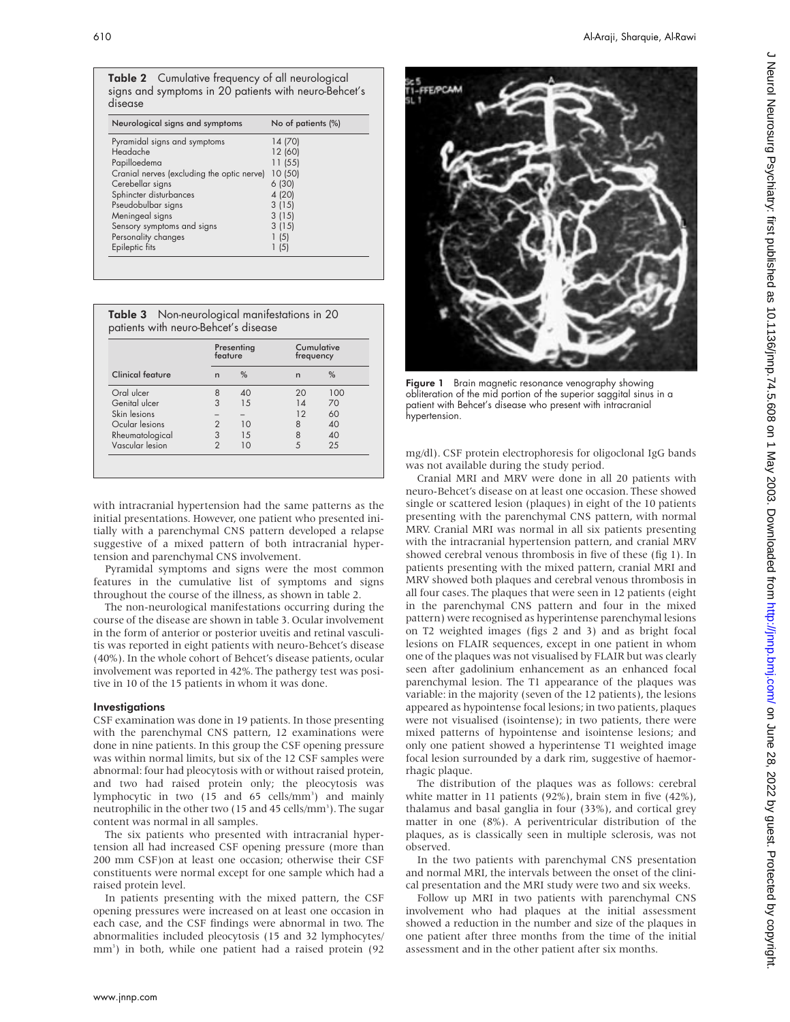|         | <b>Table 2</b> Cumulative frequency of all neurological |
|---------|---------------------------------------------------------|
|         | signs and symptoms in 20 patients with neuro-Behcet's   |
| disease |                                                         |

| Neurological signs and symptoms            | No of patients (%) |  |  |
|--------------------------------------------|--------------------|--|--|
| Pyramidal signs and symptoms               | 14 (70)            |  |  |
| Headache                                   | 12 (60)            |  |  |
| Papilloedema                               | 11(55)             |  |  |
| Cranial nerves (excluding the optic nerve) | 10 (50)            |  |  |
| Cerebellar signs                           | 6(30)              |  |  |
| Sphincter disturbances                     | 4 (20)             |  |  |
| Pseudobulbar signs                         | 3(15)              |  |  |
| Meningeal signs                            | 3(15)              |  |  |
| Sensory symptoms and signs                 | 3(15)              |  |  |
| Personality changes                        | 1(5)               |  |  |
| Epileptic fits                             | 1(5)               |  |  |
|                                            |                    |  |  |

| <b>Table 3</b> Non-neurological manifestations in 20 |  |
|------------------------------------------------------|--|
| patients with neuro-Behcet's disease                 |  |

|                         | feature       | Presenting    | Cumulative<br>frequency |     |
|-------------------------|---------------|---------------|-------------------------|-----|
| <b>Clinical feature</b> | n             | $\frac{0}{0}$ | n                       | %   |
| Oral ulcer              | 8             | 40            | 20                      | 100 |
| Genital ulcer           | 3             | 15            | 14                      | 70  |
| Skin lesions            |               |               | 12                      | 60  |
| Ocular lesions          |               | 10            | 8                       | 40  |
| Rheumatological         | 3             | 1.5           | 8                       | 40  |
| Vascular lesion         | $\mathcal{P}$ | 10            |                         | 25  |

with intracranial hypertension had the same patterns as the initial presentations. However, one patient who presented initially with a parenchymal CNS pattern developed a relapse suggestive of a mixed pattern of both intracranial hypertension and parenchymal CNS involvement.

Pyramidal symptoms and signs were the most common features in the cumulative list of symptoms and signs throughout the course of the illness, as shown in table 2.

The non-neurological manifestations occurring during the course of the disease are shown in table 3. Ocular involvement in the form of anterior or posterior uveitis and retinal vasculitis was reported in eight patients with neuro-Behcet's disease (40%). In the whole cohort of Behcet's disease patients, ocular involvement was reported in 42%. The pathergy test was positive in 10 of the 15 patients in whom it was done.

#### **Investigations**

CSF examination was done in 19 patients. In those presenting with the parenchymal CNS pattern, 12 examinations were done in nine patients. In this group the CSF opening pressure was within normal limits, but six of the 12 CSF samples were abnormal: four had pleocytosis with or without raised protein, and two had raised protein only; the pleocytosis was lymphocytic in two (15 and 65 cells/mm<sup>3</sup>) and mainly neutrophilic in the other two (15 and 45 cells/mm<sup>3</sup>). The sugar content was normal in all samples.

The six patients who presented with intracranial hypertension all had increased CSF opening pressure (more than 200 mm CSF)on at least one occasion; otherwise their CSF constituents were normal except for one sample which had a raised protein level.

In patients presenting with the mixed pattern, the CSF opening pressures were increased on at least one occasion in each case, and the CSF findings were abnormal in two. The abnormalities included pleocytosis (15 and 32 lymphocytes/ mm3 ) in both, while one patient had a raised protein (92



Figure 1 Brain magnetic resonance venography showing obliteration of the mid portion of the superior saggital sinus in a patient with Behcet's disease who present with intracranial hypertension.

mg/dl). CSF protein electrophoresis for oligoclonal IgG bands was not available during the study period.

Cranial MRI and MRV were done in all 20 patients with neuro-Behcet's disease on at least one occasion. These showed single or scattered lesion (plaques) in eight of the 10 patients presenting with the parenchymal CNS pattern, with normal MRV. Cranial MRI was normal in all six patients presenting with the intracranial hypertension pattern, and cranial MRV showed cerebral venous thrombosis in five of these (fig 1). In patients presenting with the mixed pattern, cranial MRI and MRV showed both plaques and cerebral venous thrombosis in all four cases. The plaques that were seen in 12 patients (eight in the parenchymal CNS pattern and four in the mixed pattern) were recognised as hyperintense parenchymal lesions on T2 weighted images (figs 2 and 3) and as bright focal lesions on FLAIR sequences, except in one patient in whom one of the plaques was not visualised by FLAIR but was clearly seen after gadolinium enhancement as an enhanced focal parenchymal lesion. The T1 appearance of the plaques was variable: in the majority (seven of the 12 patients), the lesions appeared as hypointense focal lesions; in two patients, plaques were not visualised (isointense); in two patients, there were mixed patterns of hypointense and isointense lesions; and only one patient showed a hyperintense T1 weighted image focal lesion surrounded by a dark rim, suggestive of haemorrhagic plaque.

The distribution of the plaques was as follows: cerebral white matter in 11 patients (92%), brain stem in five (42%), thalamus and basal ganglia in four (33%), and cortical grey matter in one (8%). A periventricular distribution of the plaques, as is classically seen in multiple sclerosis, was not observed.

In the two patients with parenchymal CNS presentation and normal MRI, the intervals between the onset of the clinical presentation and the MRI study were two and six weeks.

Follow up MRI in two patients with parenchymal CNS involvement who had plaques at the initial assessment showed a reduction in the number and size of the plaques in one patient after three months from the time of the initial assessment and in the other patient after six months.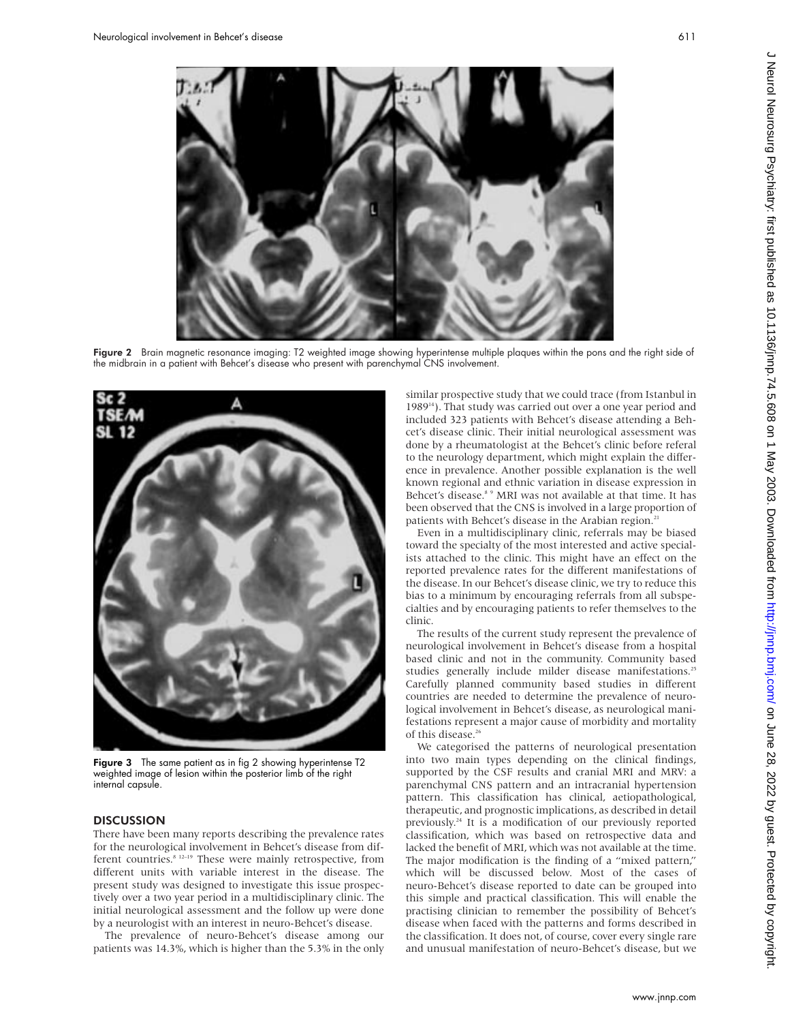



Figure 3 The same patient as in fig 2 showing hyperintense T2 weighted image of lesion within the posterior limb of the right internal capsule.

# **DISCUSSION**

There have been many reports describing the prevalence rates for the neurological involvement in Behcet's disease from different countries.<sup>8 12–19</sup> These were mainly retrospective, from different units with variable interest in the disease. The present study was designed to investigate this issue prospectively over a two year period in a multidisciplinary clinic. The initial neurological assessment and the follow up were done by a neurologist with an interest in neuro-Behcet's disease.

The prevalence of neuro-Behcet's disease among our patients was 14.3%, which is higher than the 5.3% in the only clinic. The results of the current study represent the prevalence of neurological involvement in Behcet's disease from a hospital based clinic and not in the community. Community based studies generally include milder disease manifestations.<sup>25</sup> Carefully planned community based studies in different countries are needed to determine the prevalence of neurological involvement in Behcet's disease, as neurological manifestations represent a major cause of morbidity and mortality of this disease.<sup>26</sup>

We categorised the patterns of neurological presentation into two main types depending on the clinical findings, supported by the CSF results and cranial MRI and MRV: a parenchymal CNS pattern and an intracranial hypertension pattern. This classification has clinical, aetiopathological, therapeutic, and prognostic implications, as described in detail previously.24 It is a modification of our previously reported classification, which was based on retrospective data and lacked the benefit of MRI, which was not available at the time. The major modification is the finding of a "mixed pattern," which will be discussed below. Most of the cases of neuro-Behcet's disease reported to date can be grouped into this simple and practical classification. This will enable the practising clinician to remember the possibility of Behcet's disease when faced with the patterns and forms described in the classification. It does not, of course, cover every single rare and unusual manifestation of neuro-Behcet's disease, but we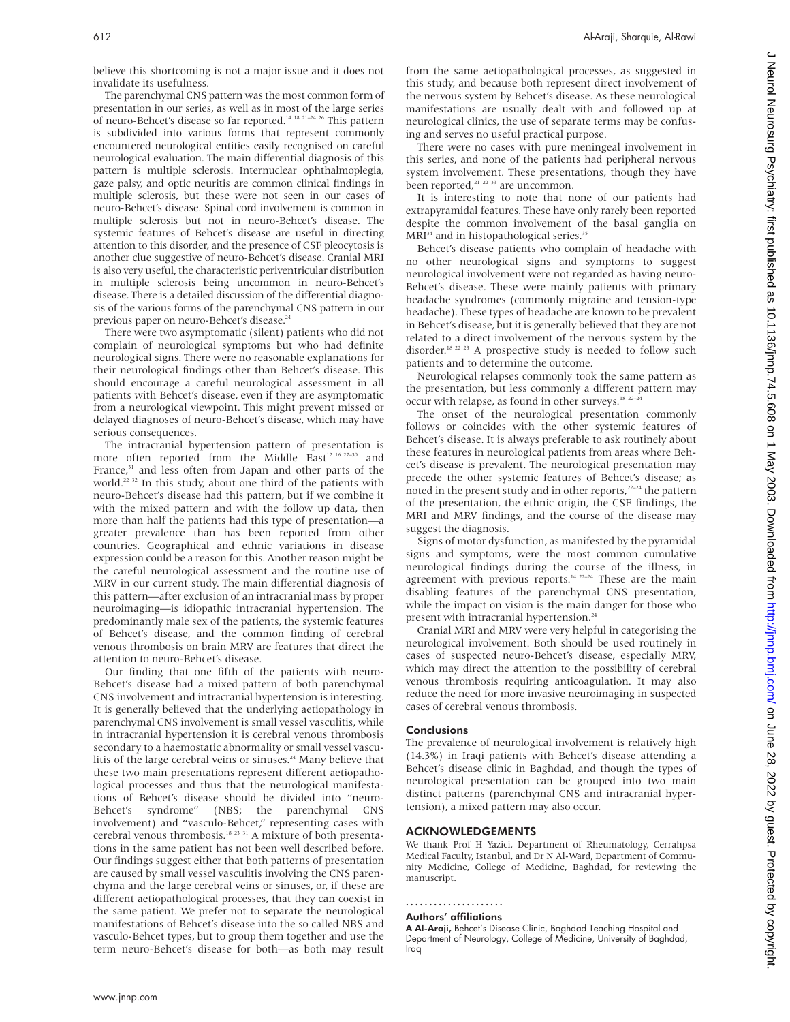believe this shortcoming is not a major issue and it does not invalidate its usefulness.

The parenchymal CNS pattern was the most common form of presentation in our series, as well as in most of the large series of neuro-Behcet's disease so far reported.14 18 21–24 26 This pattern is subdivided into various forms that represent commonly encountered neurological entities easily recognised on careful neurological evaluation. The main differential diagnosis of this pattern is multiple sclerosis. Internuclear ophthalmoplegia, gaze palsy, and optic neuritis are common clinical findings in multiple sclerosis, but these were not seen in our cases of neuro-Behcet's disease. Spinal cord involvement is common in multiple sclerosis but not in neuro-Behcet's disease. The systemic features of Behcet's disease are useful in directing attention to this disorder, and the presence of CSF pleocytosis is another clue suggestive of neuro-Behcet's disease. Cranial MRI is also very useful, the characteristic periventricular distribution in multiple sclerosis being uncommon in neuro-Behcet's disease. There is a detailed discussion of the differential diagnosis of the various forms of the parenchymal CNS pattern in our previous paper on neuro-Behcet's disease.<sup>24</sup>

There were two asymptomatic (silent) patients who did not complain of neurological symptoms but who had definite neurological signs. There were no reasonable explanations for their neurological findings other than Behcet's disease. This should encourage a careful neurological assessment in all patients with Behcet's disease, even if they are asymptomatic from a neurological viewpoint. This might prevent missed or delayed diagnoses of neuro-Behcet's disease, which may have serious consequences.

The intracranial hypertension pattern of presentation is more often reported from the Middle  $\text{East}^{12\ 16\ 27-30}$  and France,<sup>31</sup> and less often from Japan and other parts of the world.<sup>22 32</sup> In this study, about one third of the patients with neuro-Behcet's disease had this pattern, but if we combine it with the mixed pattern and with the follow up data, then more than half the patients had this type of presentation—a greater prevalence than has been reported from other countries. Geographical and ethnic variations in disease expression could be a reason for this. Another reason might be the careful neurological assessment and the routine use of MRV in our current study. The main differential diagnosis of this pattern—after exclusion of an intracranial mass by proper neuroimaging—is idiopathic intracranial hypertension. The predominantly male sex of the patients, the systemic features of Behcet's disease, and the common finding of cerebral venous thrombosis on brain MRV are features that direct the attention to neuro-Behcet's disease.

Our finding that one fifth of the patients with neuro-Behcet's disease had a mixed pattern of both parenchymal CNS involvement and intracranial hypertension is interesting. It is generally believed that the underlying aetiopathology in parenchymal CNS involvement is small vessel vasculitis, while in intracranial hypertension it is cerebral venous thrombosis secondary to a haemostatic abnormality or small vessel vasculitis of the large cerebral veins or sinuses.<sup>24</sup> Many believe that these two main presentations represent different aetiopathological processes and thus that the neurological manifestations of Behcet's disease should be divided into "neuro-Behcet's syndrome" (NBS; the parenchymal CNS involvement) and "vasculo-Behcet," representing cases with cerebral venous thrombosis.18 23 31 A mixture of both presentations in the same patient has not been well described before. Our findings suggest either that both patterns of presentation are caused by small vessel vasculitis involving the CNS parenchyma and the large cerebral veins or sinuses, or, if these are different aetiopathological processes, that they can coexist in the same patient. We prefer not to separate the neurological manifestations of Behcet's disease into the so called NBS and vasculo-Behcet types, but to group them together and use the term neuro-Behcet's disease for both—as both may result from the same aetiopathological processes, as suggested in this study, and because both represent direct involvement of the nervous system by Behcet's disease. As these neurological manifestations are usually dealt with and followed up at neurological clinics, the use of separate terms may be confusing and serves no useful practical purpose.

There were no cases with pure meningeal involvement in this series, and none of the patients had peripheral nervous system involvement. These presentations, though they have been reported,<sup>21 22 33</sup> are uncommon.

It is interesting to note that none of our patients had extrapyramidal features. These have only rarely been reported despite the common involvement of the basal ganglia on MRI<sup>34</sup> and in histopathological series.<sup>35</sup>

Behcet's disease patients who complain of headache with no other neurological signs and symptoms to suggest neurological involvement were not regarded as having neuro-Behcet's disease. These were mainly patients with primary headache syndromes (commonly migraine and tension-type headache). These types of headache are known to be prevalent in Behcet's disease, but it is generally believed that they are not related to a direct involvement of the nervous system by the disorder.<sup>18 22 23</sup> A prospective study is needed to follow such patients and to determine the outcome.

Neurological relapses commonly took the same pattern as the presentation, but less commonly a different pattern may occur with relapse, as found in other surveys.<sup>18 22-24</sup>

The onset of the neurological presentation commonly follows or coincides with the other systemic features of Behcet's disease. It is always preferable to ask routinely about these features in neurological patients from areas where Behcet's disease is prevalent. The neurological presentation may precede the other systemic features of Behcet's disease; as noted in the present study and in other reports,<sup>22-24</sup> the pattern of the presentation, the ethnic origin, the CSF findings, the MRI and MRV findings, and the course of the disease may suggest the diagnosis.

Signs of motor dysfunction, as manifested by the pyramidal signs and symptoms, were the most common cumulative neurological findings during the course of the illness, in agreement with previous reports.<sup>14 22-24</sup> These are the main disabling features of the parenchymal CNS presentation, while the impact on vision is the main danger for those who present with intracranial hypertension.<sup>24</sup>

Cranial MRI and MRV were very helpful in categorising the neurological involvement. Both should be used routinely in cases of suspected neuro-Behcet's disease, especially MRV, which may direct the attention to the possibility of cerebral venous thrombosis requiring anticoagulation. It may also reduce the need for more invasive neuroimaging in suspected cases of cerebral venous thrombosis.

#### Conclusions

The prevalence of neurological involvement is relatively high (14.3%) in Iraqi patients with Behcet's disease attending a Behcet's disease clinic in Baghdad, and though the types of neurological presentation can be grouped into two main distinct patterns (parenchymal CNS and intracranial hypertension), a mixed pattern may also occur.

#### ACKNOWLEDGEMENTS

We thank Prof H Yazici, Department of Rheumatology, Cerrahpsa Medical Faculty, Istanbul, and Dr N Al-Ward, Department of Community Medicine, College of Medicine, Baghdad, for reviewing the manuscript.

#### .....................

## Authors' affiliations

A Al-Araji, Behcet's Disease Clinic, Baghdad Teaching Hospital and Department of Neurology, College of Medicine, University of Baghdad, Iraq